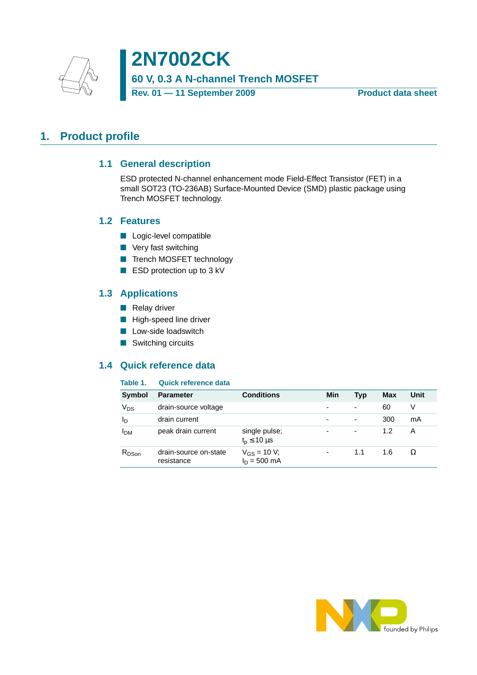

**2N7002CK 60 V, 0.3 A N-channel Trench MOSFET Rev. 01 — 11 September 2009** Product data sheet

## <span id="page-0-1"></span><span id="page-0-0"></span>**1. Product profile**

### **1.1 General description**

ESD protected N-channel enhancement mode Field-Effect Transistor (FET) in a small SOT23 (TO-236AB) Surface-Mounted Device (SMD) plastic package using Trench MOSFET technology.

#### <span id="page-0-2"></span>**1.2 Features**

- Logic-level compatible
- Very fast switching
- Trench MOSFET technology
- ESD protection up to 3 kV

### <span id="page-0-3"></span>**1.3 Applications**

- Relay driver
- High-speed line driver
- Low-side loadswitch
- Switching circuits

### <span id="page-0-4"></span>**1.4 Quick reference data**

#### **Table 1. Quick reference data**

| <b>Symbol</b> | <b>Parameter</b>                    | <b>Conditions</b>                      | Min | Typ                      | <b>Max</b> | Unit |
|---------------|-------------------------------------|----------------------------------------|-----|--------------------------|------------|------|
| $V_{DS}$      | drain-source voltage                |                                        |     | $\overline{\phantom{0}}$ | 60         | V    |
| $I_D$         | drain current                       |                                        | ۰   | $\overline{\phantom{0}}$ | 300        | mA   |
| <b>PDM</b>    | peak drain current                  | single pulse;<br>$t_{p} \leq 10 \mu s$ | -   | -                        | 1.2        | A    |
| $R_{DSon}$    | drain-source on-state<br>resistance | $V_{GS} = 10 V$ ;<br>$I_D = 500$ mA    | ۰   | 1.1                      | 1.6        | Ω    |

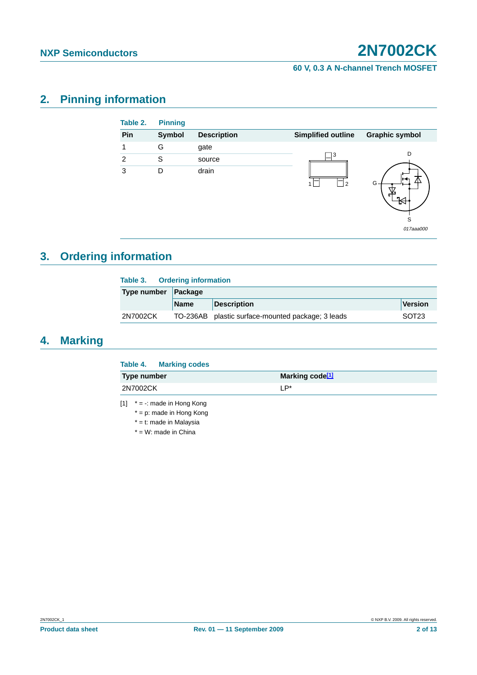#### **60 V, 0.3 A N-channel Trench MOSFET**

## <span id="page-1-1"></span>**2. Pinning information**

| Table 2. | <b>Pinning</b> |                    |                           |                       |
|----------|----------------|--------------------|---------------------------|-----------------------|
| Pin      | <b>Symbol</b>  | <b>Description</b> | <b>Simplified outline</b> | <b>Graphic symbol</b> |
|          | G              | gate               |                           |                       |
| 2        | S              | source             | 3                         | D                     |
| 3        | D              | drain              | 2                         | G<br>S                |
|          |                |                    |                           | 017aaa000             |

# <span id="page-1-2"></span>**3. Ordering information**

|             |          | Table 3. Ordering information |                                                   |                   |  |  |
|-------------|----------|-------------------------------|---------------------------------------------------|-------------------|--|--|
| Type number |          | $\vert$ Package               |                                                   |                   |  |  |
|             |          | <b>Name</b>                   | <b>Description</b>                                | Version           |  |  |
|             | 2N7002CK |                               | TO-236AB plastic surface-mounted package; 3 leads | SOT <sub>23</sub> |  |  |

### <span id="page-1-3"></span>**4. Marking**

|                    | Table 4. Marking codes |                             |
|--------------------|------------------------|-----------------------------|
| <b>Type number</b> |                        | Marking code <sup>[1]</sup> |
| 2N7002CK           |                        | I P*                        |
|                    |                        |                             |

<span id="page-1-0"></span> $[1]$  \* = -: made in Hong Kong

\* = p: made in Hong Kong

\* = t: made in Malaysia

\* = W: made in China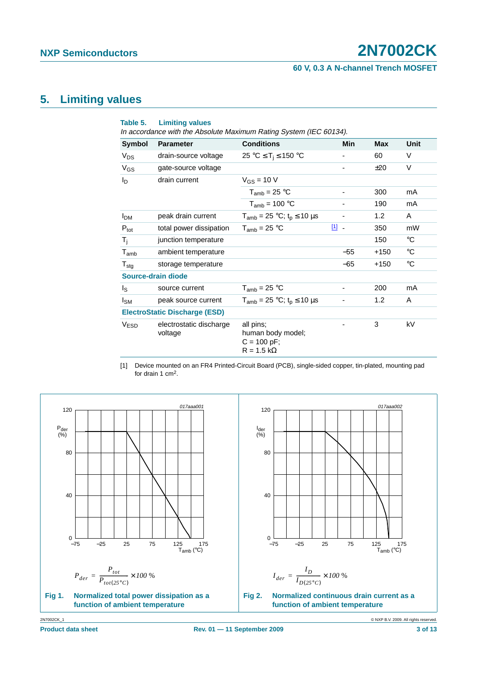#### **60 V, 0.3 A N-channel Trench MOSFET**

## <span id="page-2-1"></span>**5. Limiting values**

| Table 5.               | <b>Limiting values</b>               | In accordance with the Absolute Maximum Rating System (IEC 60134).   |                          |            |             |
|------------------------|--------------------------------------|----------------------------------------------------------------------|--------------------------|------------|-------------|
| Symbol                 | <b>Parameter</b>                     | <b>Conditions</b>                                                    | Min                      | <b>Max</b> | Unit        |
| $V_{DS}$               | drain-source voltage                 | 25 °C $\leq$ T <sub>i</sub> $\leq$ 150 °C                            |                          | 60         | V           |
| $V_{GS}$               | gate-source voltage                  |                                                                      |                          | ±20        | V           |
| I <sub>D</sub>         | drain current                        | $V_{GS}$ = 10 V                                                      |                          |            |             |
|                        |                                      | $T_{amb}$ = 25 °C                                                    | -                        | 300        | mA          |
|                        |                                      | $T_{amb}$ = 100 °C                                                   | $\overline{\phantom{a}}$ | 190        | mA          |
| <b>I</b> <sub>DM</sub> | peak drain current                   | $T_{amb}$ = 25 °C; t <sub>p</sub> $\leq$ 10 µs                       | ٠                        | 1.2        | A           |
| $P_{\text{tot}}$       | total power dissipation              | $T_{amb}$ = 25 °C                                                    | $\boxed{1}$ -            | 350        | mW          |
| $T_i$                  | junction temperature                 |                                                                      |                          | 150        | $^{\circ}C$ |
| $T_{amb}$              | ambient temperature                  |                                                                      | $-55$                    | $+150$     | $^{\circ}C$ |
| $T_{\text{stg}}$       | storage temperature                  |                                                                      | $-65$                    | $+150$     | $^{\circ}C$ |
|                        | Source-drain diode                   |                                                                      |                          |            |             |
| Is                     | source current                       | $T_{amb}$ = 25 °C                                                    |                          | 200        | mA          |
| $I_{SM}$               | peak source current                  | $T_{amb} = 25 °C$ ; t <sub>p</sub> $\leq 10 \mu s$                   |                          | 1.2        | A           |
|                        | <b>ElectroStatic Discharge (ESD)</b> |                                                                      |                          |            |             |
| <b>V<sub>ESD</sub></b> | electrostatic discharge<br>voltage   | all pins;<br>human body model;<br>$C = 100 pF;$<br>$R = 1.5 k\Omega$ |                          | 3          | kV          |

<span id="page-2-0"></span>[1] Device mounted on an FR4 Printed-Circuit Board (PCB), single-sided copper, tin-plated, mounting pad for drain 1 cm2.

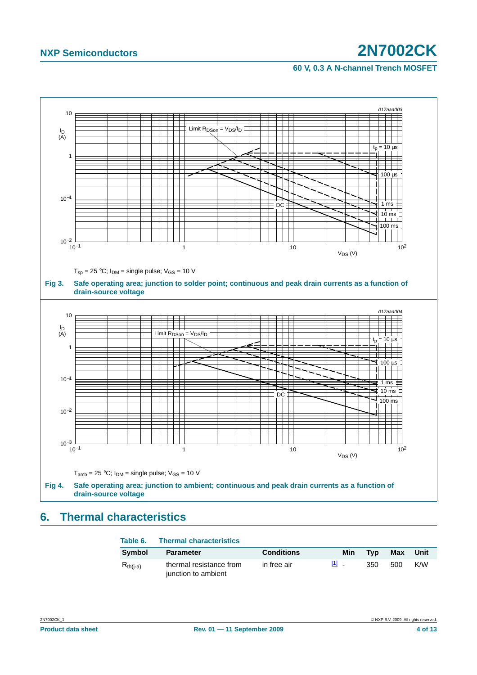#### **60 V, 0.3 A N-channel Trench MOSFET**



# <span id="page-3-0"></span>**6. Thermal characteristics**

| Table 6.      | <b>Thermal characteristics</b>                 |                   |                                     |     |     |      |
|---------------|------------------------------------------------|-------------------|-------------------------------------|-----|-----|------|
| Symbol        | <b>Parameter</b>                               | <b>Conditions</b> | Min                                 | Typ | Max | Unit |
| $R_{th(i-a)}$ | thermal resistance from<br>junction to ambient | in free air       | $\begin{bmatrix} 1 \end{bmatrix}$ . | 350 | 500 | K/W  |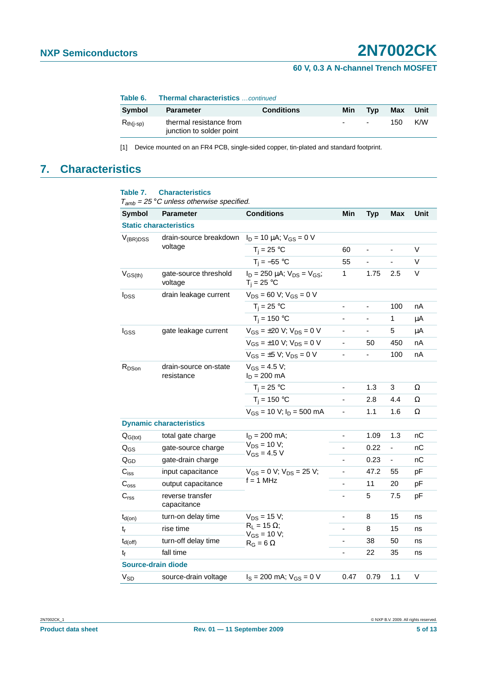#### **60 V, 0.3 A N-channel Trench MOSFET**

| Table 6. |  | <b>Thermal characteristics</b> continued |  |
|----------|--|------------------------------------------|--|
|----------|--|------------------------------------------|--|

| Svmbol         | <b>Parameter</b>                                    | <b>Conditions</b> | Min    | Tvp            | Max | Unit |
|----------------|-----------------------------------------------------|-------------------|--------|----------------|-----|------|
| $R_{th(i-sp)}$ | thermal resistance from<br>junction to solder point |                   | $\sim$ | $\blacksquare$ | 150 | K/W  |

<span id="page-4-0"></span>[1] Device mounted on an FR4 PCB, single-sided copper, tin-plated and standard footprint.

### <span id="page-4-1"></span>**7. Characteristics**

| <b>Symbol</b>             | <b>Parameter</b>                    | <b>Conditions</b>                                        | Min                          | <b>Typ</b>                   | <b>Max</b>                   | Unit |
|---------------------------|-------------------------------------|----------------------------------------------------------|------------------------------|------------------------------|------------------------------|------|
|                           | <b>Static characteristics</b>       |                                                          |                              |                              |                              |      |
| $V_{(BR)DSS}$             | drain-source breakdown              | $I_D = 10 \mu A$ ; $V_{GS} = 0 V$                        |                              |                              |                              |      |
|                           | voltage                             | $T_i = 25 °C$                                            | 60                           | ÷,                           | ÷,                           | V    |
|                           |                                     | $T_i = -55$ °C                                           | 55                           |                              |                              | V    |
| $V_{GS(th)}$              | gate-source threshold<br>voltage    | $I_D = 250 \mu A$ ; $V_{DS} = V_{GS}$ ;<br>$T_i = 25 °C$ | 1                            | 1.75                         | 2.5                          | V    |
| $I_{DSS}$                 | drain leakage current               | $V_{DS}$ = 60 V; $V_{GS}$ = 0 V                          |                              |                              |                              |      |
|                           |                                     | $T_i = 25 °C$                                            | $\overline{\phantom{0}}$     | $\qquad \qquad \blacksquare$ | 100                          | nA   |
|                           |                                     | $T_i = 150 °C$                                           | ÷,                           |                              | 1                            | μA   |
| $I_{GSS}$                 | gate leakage current                | $V_{GS} = \pm 20 V$ ; $V_{DS} = 0 V$                     |                              | -                            | 5                            | μA   |
|                           |                                     | $V_{GS} = \pm 10 V$ ; $V_{DS} = 0 V$                     | ä,                           | 50                           | 450                          | nA   |
|                           |                                     | $V_{GS} = \pm 5 V$ ; $V_{DS} = 0 V$                      | $\overline{\phantom{a}}$     | $\blacksquare$               | 100                          | nA   |
| $R_{DSon}$                | drain-source on-state<br>resistance | $V_{GS} = 4.5 V;$<br>$I_D = 200$ mA                      |                              |                              |                              |      |
|                           |                                     | $T_i = 25$ °C                                            | $\blacksquare$               | 1.3                          | 3                            | Ω    |
|                           |                                     | $T_i = 150 °C$                                           | ä,                           | 2.8                          | 4.4                          | Ω    |
|                           |                                     | $V_{GS}$ = 10 V; $I_D$ = 500 mA                          | $\blacksquare$               | 1.1                          | 1.6                          | Ω    |
|                           | <b>Dynamic characteristics</b>      |                                                          |                              |                              |                              |      |
| $Q_{G(tot)}$              | total gate charge                   | $I_D = 200$ mA;                                          | $\overline{\phantom{a}}$     | 1.09                         | 1.3                          | nС   |
| $Q_{GS}$                  | gate-source charge                  | $V_{DS}$ = 10 V;<br>$V_{GS} = 4.5 V$                     | $\qquad \qquad \blacksquare$ | 0.22                         | $\qquad \qquad \blacksquare$ | nС   |
| $Q_{GD}$                  | gate-drain charge                   |                                                          |                              | 0.23                         | -                            | nС   |
| $C_{iss}$                 | input capacitance                   | $V_{GS} = 0 V$ ; $V_{DS} = 25 V$ ;                       | ä,                           | 47.2                         | 55                           | pF   |
| $\mathrm{C}_{\text{oss}}$ | output capacitance                  | $f = 1$ MHz                                              | ÷,                           | 11                           | 20                           | pF   |
| C <sub>rss</sub>          | reverse transfer<br>capacitance     |                                                          | $\blacksquare$               | 5                            | 7.5                          | рF   |
| $t_{d(on)}$               | turn-on delay time                  | $V_{DS}$ = 15 V;                                         | $\qquad \qquad \blacksquare$ | 8                            | 15                           | ns   |
| $t_r$                     | rise time                           | $R_L = 15 \Omega$ ;<br>$V_{GS}$ = 10 V;                  | $\blacksquare$               | 8                            | 15                           | ns   |
| $t_{d(off)}$              | turn-off delay time                 | $R_G = 6 \Omega$                                         |                              | 38                           | 50                           | ns   |
| t <sub>f</sub>            | fall time                           |                                                          | ÷,                           | 22                           | 35                           | ns   |
|                           | <b>Source-drain diode</b>           |                                                          |                              |                              |                              |      |
| $V_{SD}$                  | source-drain voltage                | $I_S = 200$ mA; $V_{GS} = 0$ V                           | 0.47                         | 0.79                         | 1.1                          | V    |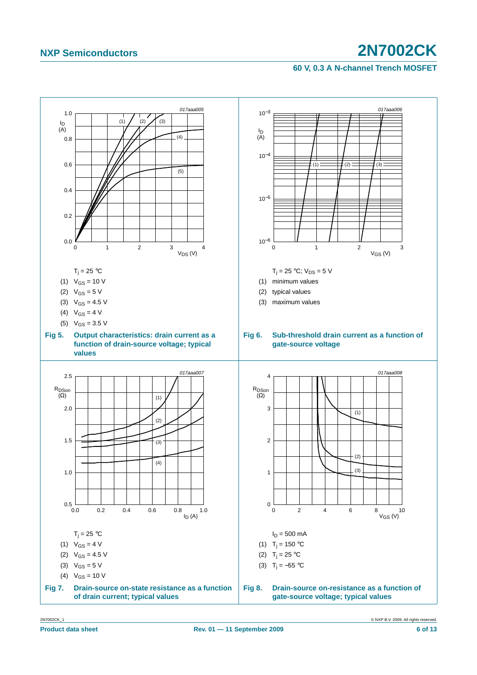#### **60 V, 0.3 A N-channel Trench MOSFET**

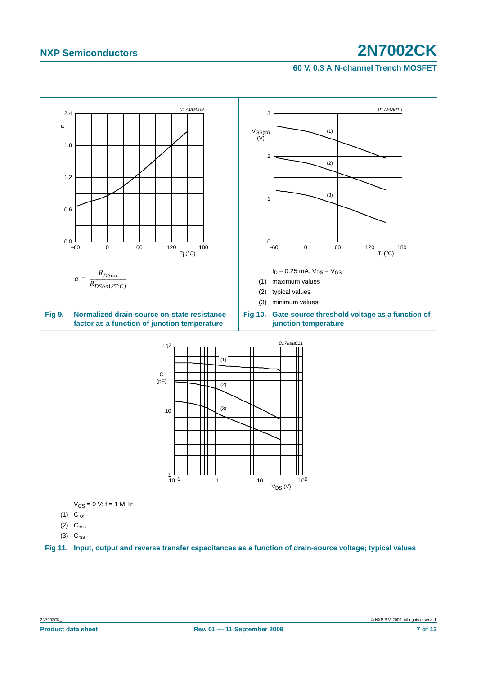#### **60 V, 0.3 A N-channel Trench MOSFET**

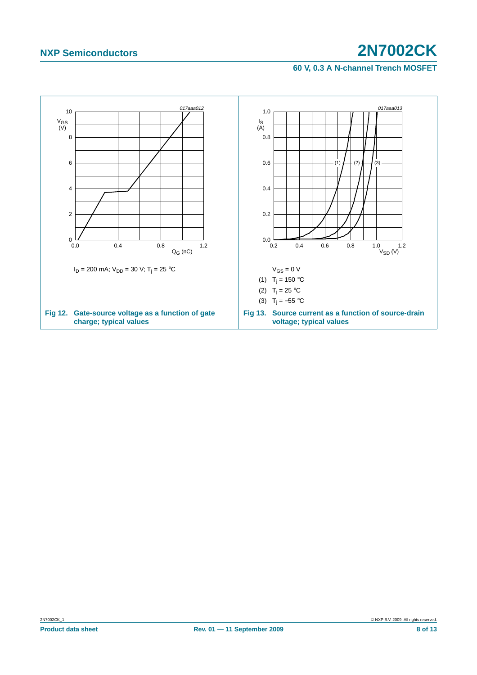#### **60 V, 0.3 A N-channel Trench MOSFET**

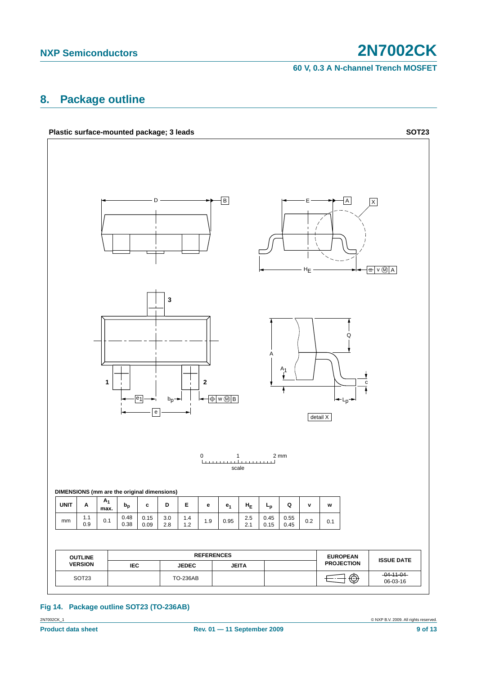**60 V, 0.3 A N-channel Trench MOSFET**

## <span id="page-8-0"></span>**8. Package outline**



#### **Fig 14. Package outline SOT23 (TO-236AB)**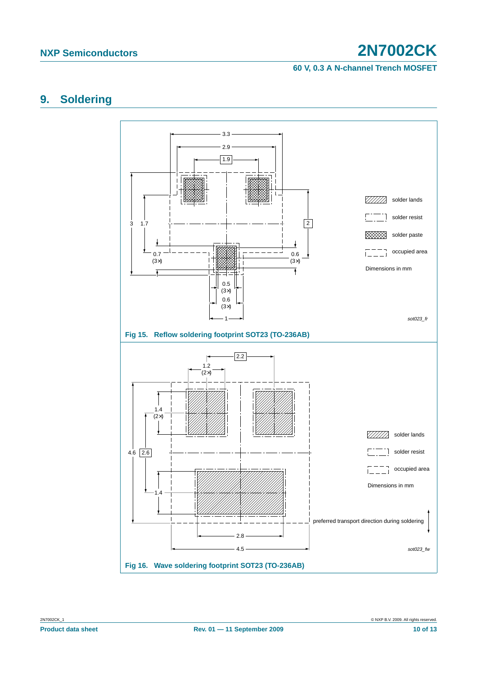#### **60 V, 0.3 A N-channel Trench MOSFET**

## <span id="page-9-0"></span>**9. Soldering**

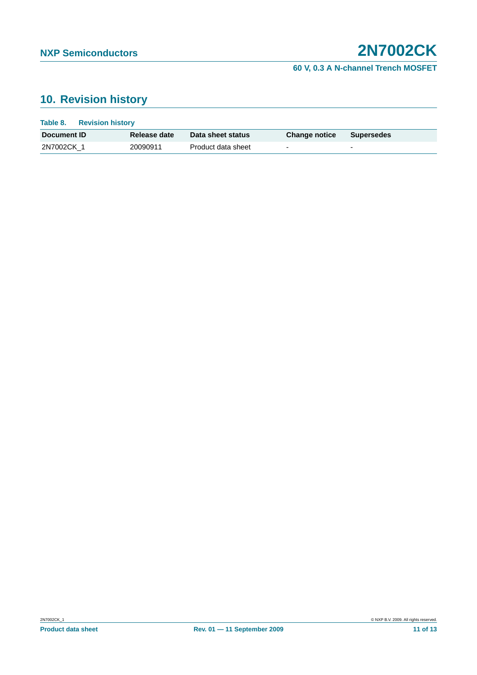### **60 V, 0.3 A N-channel Trench MOSFET**

# <span id="page-10-0"></span>**10. Revision history**

| Table 8.           | <b>Revision history</b> |              |                    |                          |                          |
|--------------------|-------------------------|--------------|--------------------|--------------------------|--------------------------|
| Document <b>ID</b> |                         | Release date | Data sheet status  | <b>Change notice</b>     | Supersedes               |
| 2N7002CK 1         |                         | 20090911     | Product data sheet | $\overline{\phantom{0}}$ | $\overline{\phantom{0}}$ |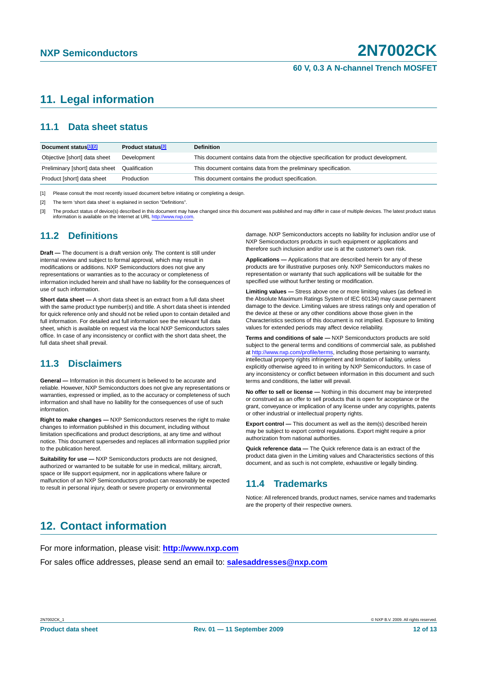# <span id="page-11-0"></span>**11. Legal information**

### <span id="page-11-1"></span>**11.1 Data sheet status**

| Document status <sup>[1][2]</sup> | Product status <sup>[3]</sup> | <b>Definition</b>                                                                     |
|-----------------------------------|-------------------------------|---------------------------------------------------------------------------------------|
| Objective [short] data sheet      | Development                   | This document contains data from the objective specification for product development. |
| Preliminary [short] data sheet    | Qualification                 | This document contains data from the preliminary specification.                       |
| Product [short] data sheet        | Production                    | This document contains the product specification.                                     |

[1] Please consult the most recently issued document before initiating or completing a design.

[2] The term 'short data sheet' is explained in section "Definitions".

[3] The product status of device(s) described in this document may have changed since this document was published and may differ in case of multiple devices. The latest product status information is available on the Internet at URL http://www.nxp.com.

#### <span id="page-11-2"></span>**11.2 Definitions**

**Draft —** The document is a draft version only. The content is still under internal review and subject to formal approval, which may result in modifications or additions. NXP Semiconductors does not give any representations or warranties as to the accuracy or completeness of information included herein and shall have no liability for the consequences of use of such information.

**Short data sheet —** A short data sheet is an extract from a full data sheet with the same product type number(s) and title. A short data sheet is intended for quick reference only and should not be relied upon to contain detailed and full information. For detailed and full information see the relevant full data sheet, which is available on request via the local NXP Semiconductors sales office. In case of any inconsistency or conflict with the short data sheet, the full data sheet shall prevail.

#### <span id="page-11-3"></span>**11.3 Disclaimers**

**General —** Information in this document is believed to be accurate and reliable. However, NXP Semiconductors does not give any representations or warranties, expressed or implied, as to the accuracy or completeness of such information and shall have no liability for the consequences of use of such information.

**Right to make changes —** NXP Semiconductors reserves the right to make changes to information published in this document, including without limitation specifications and product descriptions, at any time and without notice. This document supersedes and replaces all information supplied prior to the publication hereof.

**Suitability for use - NXP** Semiconductors products are not designed, authorized or warranted to be suitable for use in medical, military, aircraft, space or life support equipment, nor in applications where failure or malfunction of an NXP Semiconductors product can reasonably be expected to result in personal injury, death or severe property or environmental

damage. NXP Semiconductors accepts no liability for inclusion and/or use of NXP Semiconductors products in such equipment or applications and therefore such inclusion and/or use is at the customer's own risk.

**Applications —** Applications that are described herein for any of these products are for illustrative purposes only. NXP Semiconductors makes no representation or warranty that such applications will be suitable for the specified use without further testing or modification.

**Limiting values —** Stress above one or more limiting values (as defined in the Absolute Maximum Ratings System of IEC 60134) may cause permanent damage to the device. Limiting values are stress ratings only and operation of the device at these or any other conditions above those given in the Characteristics sections of this document is not implied. Exposure to limiting values for extended periods may affect device reliability.

**Terms and conditions of sale —** NXP Semiconductors products are sold subject to the general terms and conditions of commercial sale, as published at http://www.nxp.com/profile/terms, including those pertaining to warranty, intellectual property rights infringement and limitation of liability, unless explicitly otherwise agreed to in writing by NXP Semiconductors. In case of any inconsistency or conflict between information in this document and such terms and conditions, the latter will prevail.

**No offer to sell or license —** Nothing in this document may be interpreted or construed as an offer to sell products that is open for acceptance or the grant, conveyance or implication of any license under any copyrights, patents or other industrial or intellectual property rights.

**Export control —** This document as well as the item(s) described herein may be subject to export control regulations. Export might require a prior authorization from national authorities.

**Quick reference data —** The Quick reference data is an extract of the product data given in the Limiting values and Characteristics sections of this document, and as such is not complete, exhaustive or legally binding.

#### <span id="page-11-4"></span>**11.4 Trademarks**

Notice: All referenced brands, product names, service names and trademarks are the property of their respective owners.

## <span id="page-11-5"></span>**12. Contact information**

For more information, please visit: **http://www.nxp.com**

For sales office addresses, please send an email to: **salesaddresses@nxp.com**